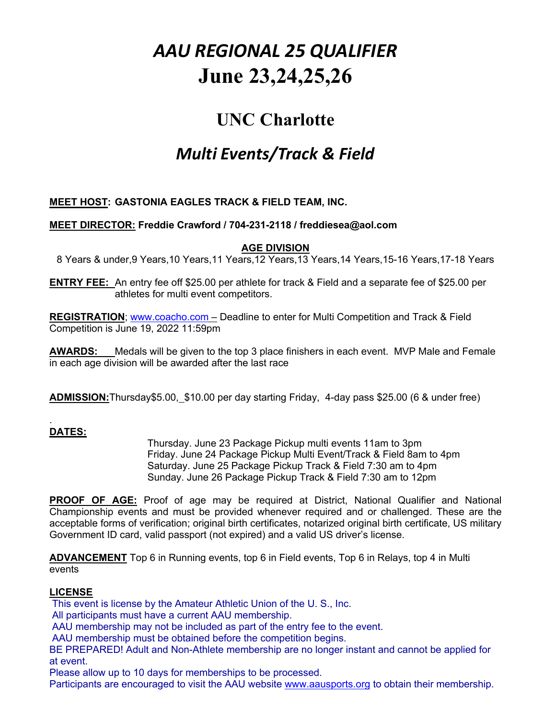# *AAU REGIONAL 25 QUALIFIER* **June 23,24,25,26**

# **UNC Charlotte**

# *Multi Events/Track & Field*

# **MEET HOST: GASTONIA EAGLES TRACK & FIELD TEAM, INC.**

## **MEET DIRECTOR: Freddie Crawford / 704-231-2118 / freddiesea@aol.com**

## **AGE DIVISION**

8 Years & under,9 Years,10 Years,11 Years,12 Years,13 Years,14 Years,15-16 Years,17-18 Years

**ENTRY FEE:** An entry fee off \$25.00 per athlete for track & Field and a separate fee of \$25.00 per athletes for multi event competitors.

**REGISTRATION**; www.coacho.com – Deadline to enter for Multi Competition and Track & Field Competition is June 19, 2022 11:59pm

**AWARDS:** Medals will be given to the top 3 place finishers in each event. MVP Male and Female in each age division will be awarded after the last race

**ADMISSION:**Thursday\$5.00, \$10.00 per day starting Friday, 4-day pass \$25.00 (6 & under free)

#### . **DATES:**

Thursday. June 23 Package Pickup multi events 11am to 3pm Friday. June 24 Package Pickup Multi Event/Track & Field 8am to 4pm Saturday. June 25 Package Pickup Track & Field 7:30 am to 4pm Sunday. June 26 Package Pickup Track & Field 7:30 am to 12pm

**PROOF OF AGE:** Proof of age may be required at District, National Qualifier and National Championship events and must be provided whenever required and or challenged. These are the acceptable forms of verification; original birth certificates, notarized original birth certificate, US military Government ID card, valid passport (not expired) and a valid US driver's license.

**ADVANCEMENT** Top 6 in Running events, top 6 in Field events, Top 6 in Relays, top 4 in Multi events

#### **LICENSE**

This event is license by the Amateur Athletic Union of the U. S., Inc.

All participants must have a current AAU membership.

AAU membership may not be included as part of the entry fee to the event.

AAU membership must be obtained before the competition begins.

BE PREPARED! Adult and Non-Athlete membership are no longer instant and cannot be applied for at event.

Please allow up to 10 days for memberships to be processed.

Participants are encouraged to visit the AAU website www.aausports.org to obtain their membership.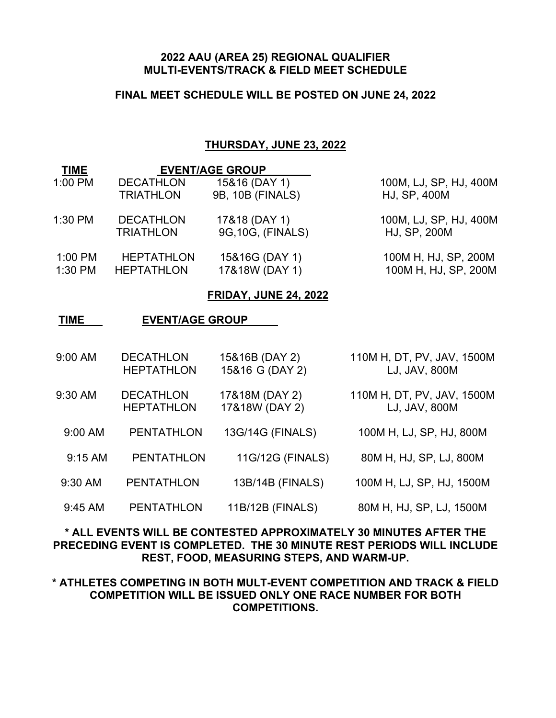#### **2022 AAU (AREA 25) REGIONAL QUALIFIER MULTI-EVENTS/TRACK & FIELD MEET SCHEDULE**

# **FINAL MEET SCHEDULE WILL BE POSTED ON JUNE 24, 2022**

#### **THURSDAY, JUNE 23, 2022**

| <b>TIME</b> |                   | <b>EVENT/AGE GROUP</b> |                        |  |
|-------------|-------------------|------------------------|------------------------|--|
| $1:00$ PM   | <b>DECATHLON</b>  | 15&16 (DAY 1)          | 100M, LJ, SP, HJ, 400M |  |
|             | <b>TRIATHLON</b>  | 9B, 10B (FINALS)       | HJ, SP, 400M           |  |
| 1:30 PM     | <b>DECATHLON</b>  | 17&18 (DAY 1)          | 100M, LJ, SP, HJ, 400M |  |
|             | <b>TRIATHLON</b>  | 9G, 10G, (FINALS)      | HJ, SP, 200M           |  |
| 1:00 PM     | <b>HEPTATHLON</b> | 15&16G (DAY 1)         | 100M H, HJ, SP, 200M   |  |
| 1:30 PM     | <b>HEPTATHLON</b> | 17&18W (DAY 1)         | 100M H, HJ, SP, 200M   |  |

#### **FRIDAY, JUNE 24, 2022**

#### **TIME EVENT/AGE GROUP**

| 9:00 AM | <b>DECATHLON</b>  | 15&16B (DAY 2)  | 110M H, DT, PV, JAV, 1500M |
|---------|-------------------|-----------------|----------------------------|
|         | <b>HEPTATHLON</b> | 15&16 G (DAY 2) | LJ, JAV, 800M              |
|         |                   |                 |                            |

- 9:30 AM DECATHLON 17&18M (DAY 2) 110M H, DT, PV, JAV, 1500M HEPTATHLON 17&18W (DAY 2) LJ, JAV, 800M
- 9:00 AM PENTATHLON 13G/14G (FINALS) 100M H, LJ, SP, HJ, 800M
	- 9:15 AM PENTATHLON 11G/12G (FINALS) 80M H, HJ, SP, LJ, 800M
- 9:30 AM PENTATHLON 13B/14B (FINALS) 100M H, LJ, SP, HJ, 1500M
- 9:45 AM PENTATHLON 11B/12B (FINALS) 80M H, HJ, SP, LJ, 1500M

# **\* ALL EVENTS WILL BE CONTESTED APPROXIMATELY 30 MINUTES AFTER THE PRECEDING EVENT IS COMPLETED. THE 30 MINUTE REST PERIODS WILL INCLUDE REST, FOOD, MEASURING STEPS, AND WARM-UP.**

# **\* ATHLETES COMPETING IN BOTH MULT-EVENT COMPETITION AND TRACK & FIELD COMPETITION WILL BE ISSUED ONLY ONE RACE NUMBER FOR BOTH COMPETITIONS.**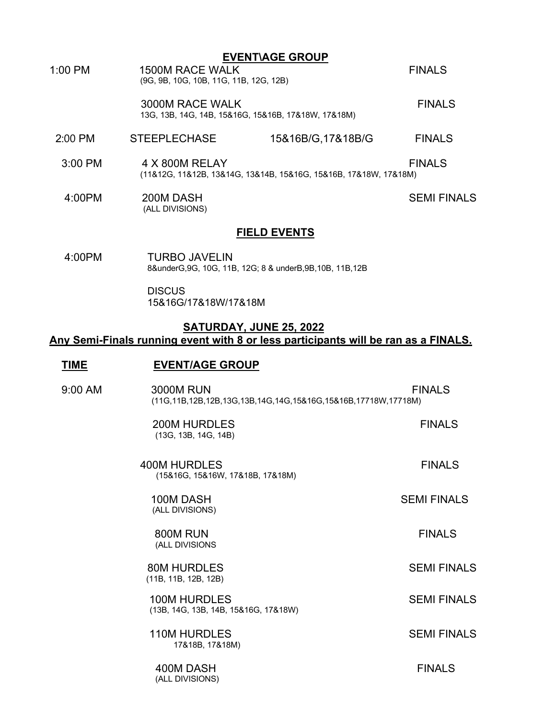- **EVENT\AGE GROUP** 1:00 PM 1500M RACE WALK FINALS (9G, 9B, 10G, 10B, 11G, 11B, 12G, 12B) 3000M RACE WALK<br>13G, 13B, 14G, 14B, 15&16G, 15&16B, 17&18W, 17&18M) 2:00 PM STEEPLECHASE 15&16B/G,17&18B/G FINALS 3:00 PM 4 X 800M RELAY FINALS (11&12G, 11&12B, 13&14G, 13&14B, 15&16G, 15&16B, 17&18W, 17&18M)
- 4:00PM 200M DASH SEMI FINALS<br>(ALL DIVISIONS)

#### **FIELD EVENTS**

 4:00PM TURBO JAVELIN 8&underG,9G, 10G, 11B, 12G; 8 & underB,9B,10B, 11B,12B

#### **DISCUS** 15&16G/17&18W/17&18M

#### **SATURDAY, JUNE 25, 2022**

#### **Any Semi-Finals running event with 8 or less participants will be ran as a FINALS.**

#### **TIME EVENT/AGE GROUP**

| 9:00 AM | <b>3000M RUN</b><br>(11G, 11B, 12B, 12B, 13G, 13B, 14G, 14G, 15& 16G, 15& 16B, 17718W, 17718M) | <b>FINALS</b>      |
|---------|------------------------------------------------------------------------------------------------|--------------------|
|         | <b>200M HURDLES</b><br>(13G, 13B, 14G, 14B)                                                    | <b>FINALS</b>      |
|         | 400M HURDLES<br>(15&16G, 15&16W, 17&18B, 17&18M)                                               | <b>FINALS</b>      |
|         | 100M DASH<br>(ALL DIVISIONS)                                                                   | <b>SEMI FINALS</b> |
|         | 800M RUN<br>(ALL DIVISIONS                                                                     | <b>FINALS</b>      |
|         | <b>80M HURDLES</b><br>(11B, 11B, 12B, 12B)                                                     | <b>SEMI FINALS</b> |
|         | <b>100M HURDLES</b><br>(13B, 14G, 13B, 14B, 15&16G, 17&18W)                                    | <b>SEMI FINALS</b> |
|         | <b>110M HURDLES</b><br>17&18B, 17&18M)                                                         | <b>SEMI FINALS</b> |
|         | 400M DASH<br>(ALL DIVISIONS)                                                                   | <b>FINALS</b>      |